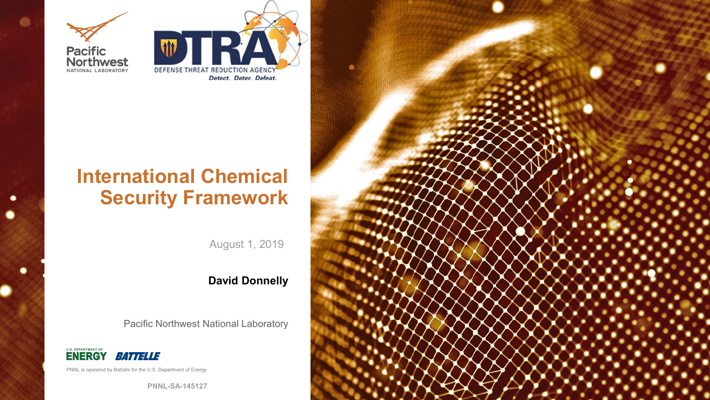

 $\bullet$ 

٠

.



### **International Chemical Security Framework**

August 1, 2019

### **David Donnelly**

Pacific Northwest National Laboratory



PNNL is operated by Battelle for the U.S. Department of Energy

**PNNL-SA-145127**

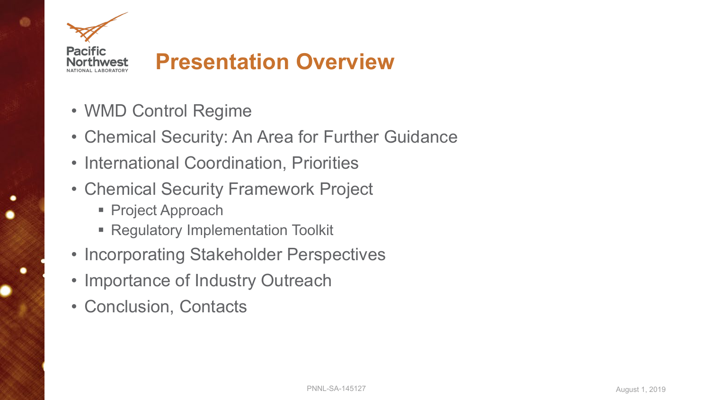

### **Presentation Overview**

- WMD Control Regime
- Chemical Security: An Area for Further Guidance
- International Coordination, Priorities
- Chemical Security Framework Project
	- Project Approach
	- **Regulatory Implementation Toolkit**
- Incorporating Stakeholder Perspectives
- Importance of Industry Outreach
- Conclusion, Contacts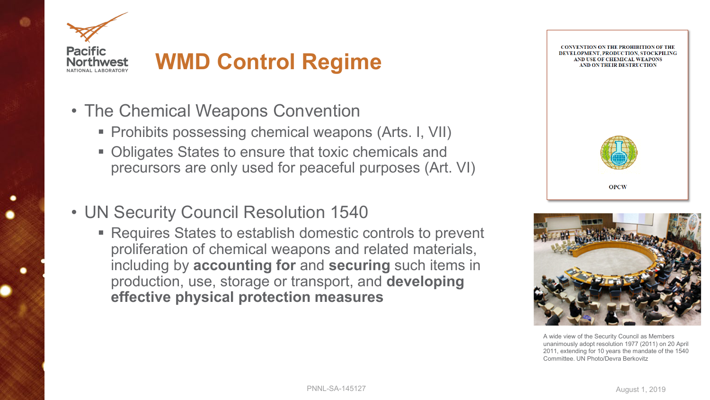

## **WMD Control Regime**

- The Chemical Weapons Convention
	- Prohibits possessing chemical weapons (Arts. I, VII)
	- **Obligates States to ensure that toxic chemicals and** precursors are only used for peaceful purposes (Art. VI)
- UN Security Council Resolution 1540
	- Requires States to establish domestic controls to prevent proliferation of chemical weapons and related materials, including by **accounting for** and **securing** such items in production, use, storage or transport, and **developing effective physical protection measures**



### **CONVENTION ON THE PROHIBITION OF THE** DEVELOPMENT. PRODUCTION. STOCKPILING AND USE OF CHEMICAL WEAPONS AND ON THEIR DESTRUCTION



**OPCW** 

A wide view of the Security Council as Members unanimously adopt resolution 1977 (2011) on 20 April 2011, extending for 10 years the mandate of the 1540 Committee. UN Photo/Devra Berkovitz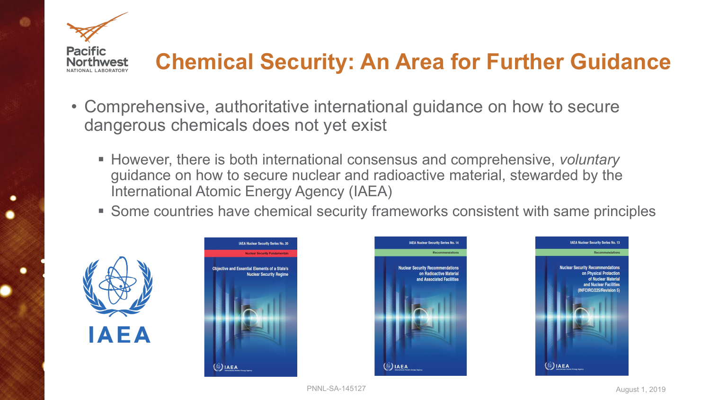

## **Chemical Security: An Area for Further Guidance**

- Comprehensive, authoritative international guidance on how to secure dangerous chemicals does not yet exist
	- However, there is both international consensus and comprehensive, *voluntary* guidance on how to secure nuclear and radioactive material, stewarded by the International Atomic Energy Agency (IAEA)
	- Some countries have chemical security frameworks consistent with same principles







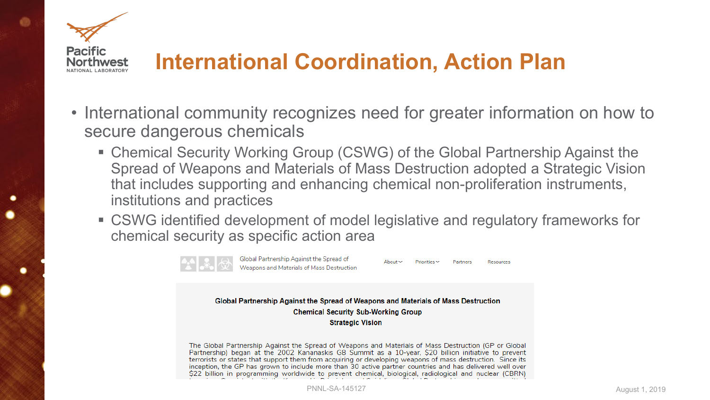

### **International Coordination, Action Plan**

- International community recognizes need for greater information on how to secure dangerous chemicals
	- Chemical Security Working Group (CSWG) of the Global Partnership Against the Spread of Weapons and Materials of Mass Destruction adopted a Strategic Vision that includes supporting and enhancing chemical non-proliferation instruments, institutions and practices
	- CSWG identified development of model legislative and regulatory frameworks for chemical security as specific action area



Global Partnership Against the Spread of Weapons and Materials of Mass Destruction

 $\Delta$ hout  $\vee$ 

Partners

Resources

Global Partnership Against the Spread of Weapons and Materials of Mass Destruction **Chemical Security Sub-Working Group Strategic Vision** 

The Global Partnership Against the Spread of Weapons and Materials of Mass Destruction (GP or Global Partnership) began at the 2002 Kananaskis G8 Summit as a 10-year, \$20 billion initiative to prevent terrorists or states that support them from acquiring or developing weapons of mass destruction. Since its inception, the GP has grown to include more than 30 active partner countries and has delivered well over \$22 billion in programming worldwide to prevent chemical, biological, radiological and nuclear (CBRN)

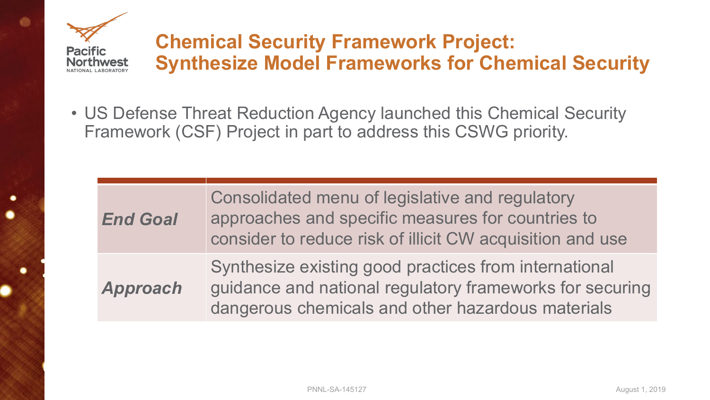

### **Chemical Security Framework Project: Synthesize Model Frameworks for Chemical Security**

• US Defense Threat Reduction Agency launched this Chemical Security Framework (CSF) Project in part to address this CSWG priority.

n and use national for securing aterials

| <b>End Goal</b> | Consolidated menu of legislative and regulatory<br>approaches and specific measures for countries to<br>consider to reduce risk of illicit CW acquisition and i |
|-----------------|-----------------------------------------------------------------------------------------------------------------------------------------------------------------|
| Approach        | Synthesize existing good practices from internation.<br>guidance and national regulatory frameworks for se<br>dangerous chemicals and other hazardous material  |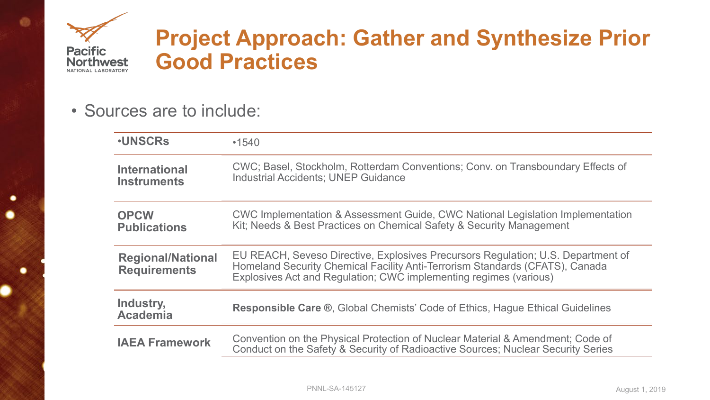

.

### **Project Approach: Gather and Synthesize Prior Good Practices**

• Sources are to include:

| <b>.UNSCRs</b>                                  | •1540                                                                                                                                                                                                                             |
|-------------------------------------------------|-----------------------------------------------------------------------------------------------------------------------------------------------------------------------------------------------------------------------------------|
| <b>International</b><br><b>Instruments</b>      | CWC; Basel, Stockholm, Rotterdam Conventions; Conv. on Transboundary Effects<br><b>Industrial Accidents: UNEP Guidance</b>                                                                                                        |
| <b>OPCW</b><br><b>Publications</b>              | CWC Implementation & Assessment Guide, CWC National Legislation Implementa<br>Kit; Needs & Best Practices on Chemical Safety & Security Management                                                                                |
| <b>Regional/National</b><br><b>Requirements</b> | EU REACH, Seveso Directive, Explosives Precursors Regulation; U.S. Departmen<br>Homeland Security Chemical Facility Anti-Terrorism Standards (CFATS), Canada<br>Explosives Act and Regulation; CWC implementing regimes (various) |
| Industry,<br><b>Academia</b>                    | <b>Responsible Care ®, Global Chemists' Code of Ethics, Hague Ethical Guidelines</b>                                                                                                                                              |
| <b>IAEA Framework</b>                           | Convention on the Physical Protection of Nuclear Material & Amendment; Code of<br>Conduct on the Safety & Security of Radioactive Sources; Nuclear Security Series                                                                |



### **Indary Effects of**

n Implementation

**E.** Department of S), Canada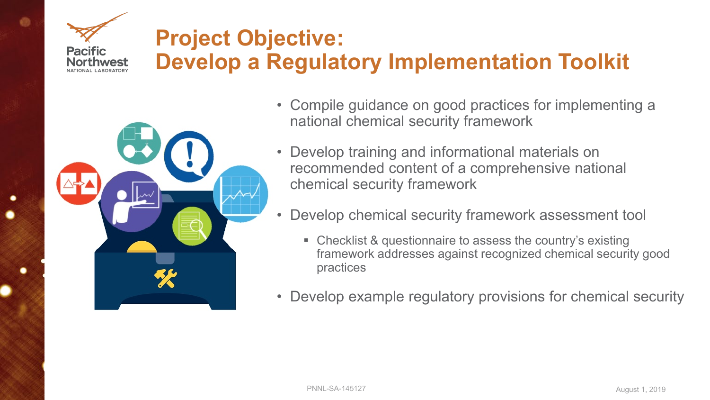### **Project Objective: Develop a Regulatory Implementation Toolkit**



**Pacific** 

- Compile guidance on good practices for implementing a national chemical security framework
- Develop training and informational materials on recommended content of a comprehensive national chemical security framework
- Develop chemical security framework assessment tool
	- Checklist & questionnaire to assess the country's existing framework addresses against recognized chemical security good practices
- Develop example regulatory provisions for chemical security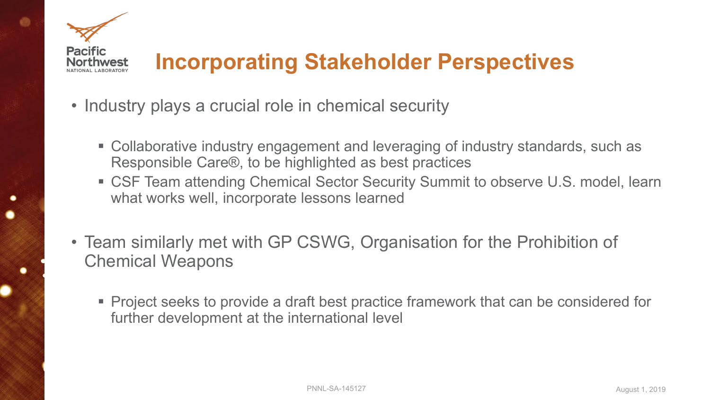

## **Incorporating Stakeholder Perspectives**

- Industry plays a crucial role in chemical security
	- Collaborative industry engagement and leveraging of industry standards, such as Responsible Care®, to be highlighted as best practices
	- CSF Team attending Chemical Sector Security Summit to observe U.S. model, learn what works well, incorporate lessons learned
- Team similarly met with GP CSWG, Organisation for the Prohibition of Chemical Weapons
	- **Project seeks to provide a draft best practice framework that can be considered for** further development at the international level

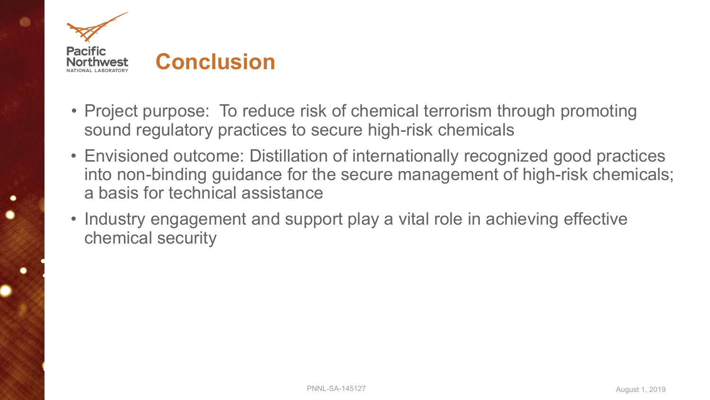

- Project purpose: To reduce risk of chemical terrorism through promoting sound regulatory practices to secure high-risk chemicals
- Envisioned outcome: Distillation of internationally recognized good practices into non-binding guidance for the secure management of high-risk chemicals; a basis for technical assistance
- Industry engagement and support play a vital role in achieving effective chemical security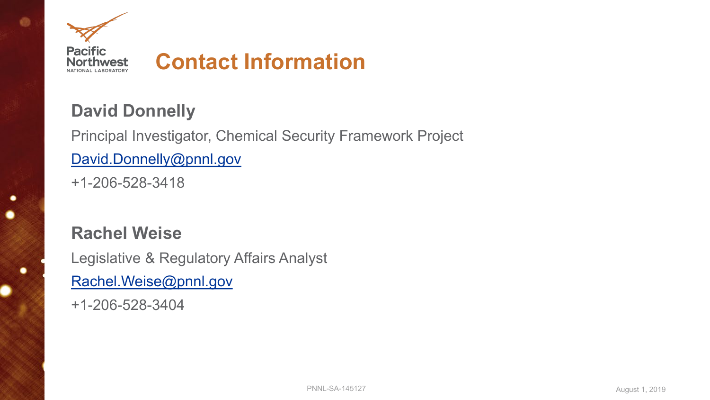

### **David Donnelly**

Principal Investigator, Chemical Security Framework Project [David.Donnelly@pnnl.gov](mailto:David.Donnelly@pnnl.gov) +1-206-528-3418

### **Rachel Weise**

.

Legislative & Regulatory Affairs Analyst [Rachel.Weise@pnnl.gov](mailto:Rachel.Weise@pnnl.gov)

+1-206-528-3404